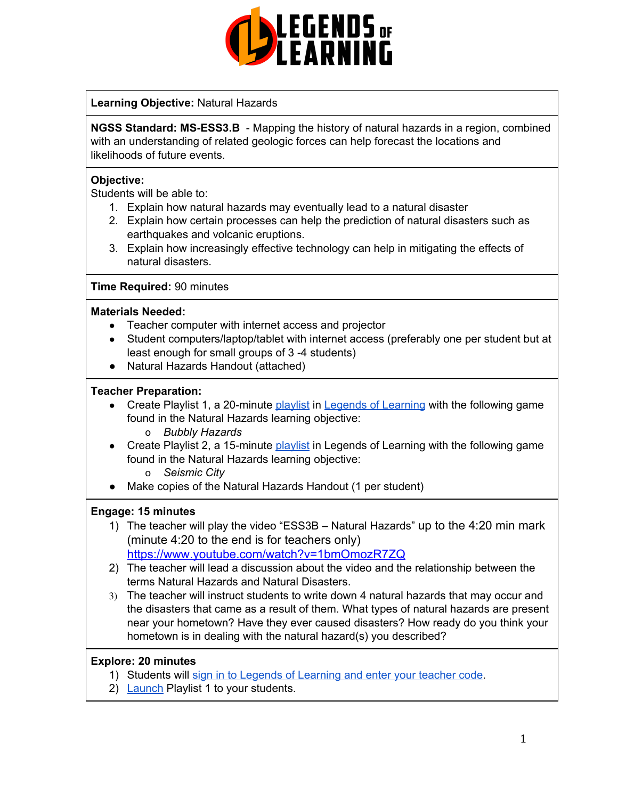

# **Learning Objective:** Natural Hazards

**NGSS Standard: MS-ESS3.B** - Mapping the history of natural hazards in a region, combined with an understanding of related geologic forces can help forecast the locations and likelihoods of future events.

## **Objective:**

Students will be able to:

- 1. Explain how natural hazards may eventually lead to a natural disaster
- 2. Explain how certain processes can help the prediction of natural disasters such as earthquakes and volcanic eruptions.
- 3. Explain how increasingly effective technology can help in mitigating the effects of natural disasters.

## **Time Required:** 90 minutes

## **Materials Needed:**

- Teacher computer with internet access and projector
- Student computers/laptop/tablet with internet access (preferably one per student but at least enough for small groups of 3 -4 students)
- Natural Hazards Handout (attached)

## **Teacher Preparation:**

- Create Playlist 1, a 20-minute [playlist](https://lol.desk.com/customer/en/portal/articles/2822815-creating-multiple-playlists) in Legends of [Learning](https://teachers.legendsoflearning.com/sign-in) with the following game found in the Natural Hazards learning objective:
	- o *Bubbly Hazards*
- Create Playlist 2, a 15-minute [playlist](https://lol.desk.com/customer/en/portal/articles/2822815-creating-multiple-playlists) in Legends of Learning with the following game found in the Natural Hazards learning objective:
	- o *Seismic City*
- Make copies of the Natural Hazards Handout (1 per student)

# **Engage: 15 minutes**

- 1) The teacher will play the video "ESS3B Natural Hazards" up to the 4:20 min mark (minute 4:20 to the end is for teachers only) <https://www.youtube.com/watch?v=1bmOmozR7ZQ>
- 2) The teacher will lead a discussion about the video and the relationship between the terms Natural Hazards and Natural Disasters.
- 3) The teacher will instruct students to write down 4 natural hazards that may occur and the disasters that came as a result of them. What types of natural hazards are present near your hometown? Have they ever caused disasters? How ready do you think your hometown is in dealing with the natural hazard(s) you described?

# **Explore: 20 minutes**

- 1) Students will sign in to Legends of [Learning](https://lol.desk.com/customer/en/portal/articles/2809984-students-joining-a-playlist) and enter your teacher code.
- 2) [Launch](https://lol.desk.com/customer/en/portal/articles/2822815-creating-multiple-playlists) Playlist 1 to your students.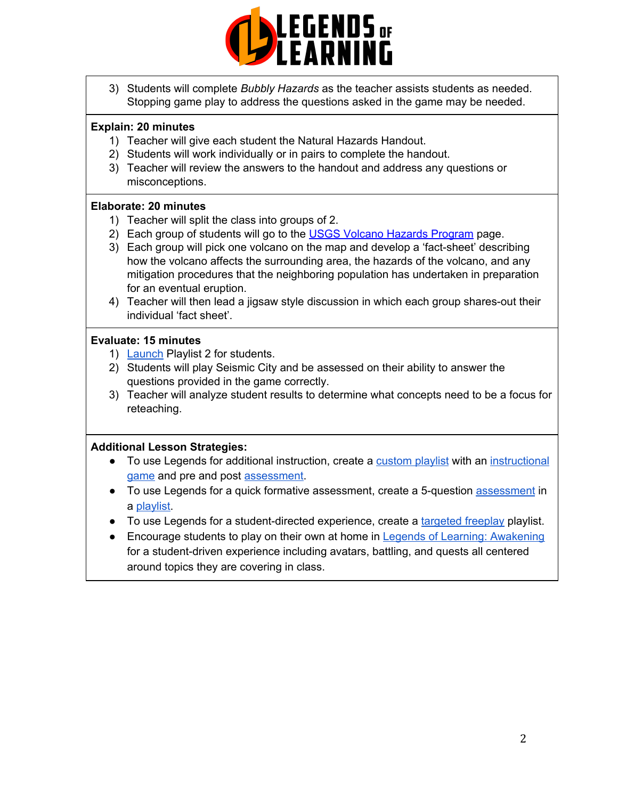

3) Students will complete *Bubbly Hazards* as the teacher assists students as needed. Stopping game play to address the questions asked in the game may be needed.

# **Explain: 20 minutes**

- 1) Teacher will give each student the Natural Hazards Handout.
- 2) Students will work individually or in pairs to complete the handout.
- 3) Teacher will review the answers to the handout and address any questions or misconceptions.

## **Elaborate: 20 minutes**

- 1) Teacher will split the class into groups of 2.
- 2) Each group of students will go to the USGS Volcano Hazards [Program](https://volcanoes.usgs.gov/vhp/hazards.html) page.
- 3) Each group will pick one volcano on the map and develop a 'fact-sheet' describing how the volcano affects the surrounding area, the hazards of the volcano, and any mitigation procedures that the neighboring population has undertaken in preparation for an eventual eruption.
- 4) Teacher will then lead a jigsaw style discussion in which each group shares-out their individual 'fact sheet'.

## **Evaluate: 15 minutes**

- 1) **[Launch](https://lol.desk.com/customer/en/portal/articles/2822815-creating-multiple-playlists) Playlist 2 for students.**
- 2) Students will play Seismic City and be assessed on their ability to answer the questions provided in the game correctly.
- 3) Teacher will analyze student results to determine what concepts need to be a focus for reteaching.

# **Additional Lesson Strategies:**

- To use Legends for additional instruction, create a [custom](https://intercom.help/legends-of-learning/en/articles/2154910-creating-a-playlist) playlist with an [instructional](https://intercom.help/legends-of-learning/en/articles/3505828-types-of-games) [game](https://intercom.help/legends-of-learning/en/articles/3505828-types-of-games) and pre and post [assessment.](https://intercom.help/legends-of-learning/en/articles/2154913-adding-assessments-to-a-playlist)
- To use Legends for a quick formative [assessment](https://intercom.help/legends-of-learning/en/articles/2154913-adding-assessments-to-a-playlist), create a 5-question assessment in a [playlist.](https://intercom.help/legends-of-learning/en/articles/2154910-creating-a-playlist)
- To use Legends for a student-directed experience, create a [targeted](https://intercom.help/legends-of-learning/en/articles/3340814-targeted-freeplay) freeplay playlist.
- Encourage students to play on their own at home in Legends of Learning: [Awakening](https://intercom.help/legends-of-learning/en/articles/2425490-legends-of-learning-awakening) for a student-driven experience including avatars, battling, and quests all centered around topics they are covering in class.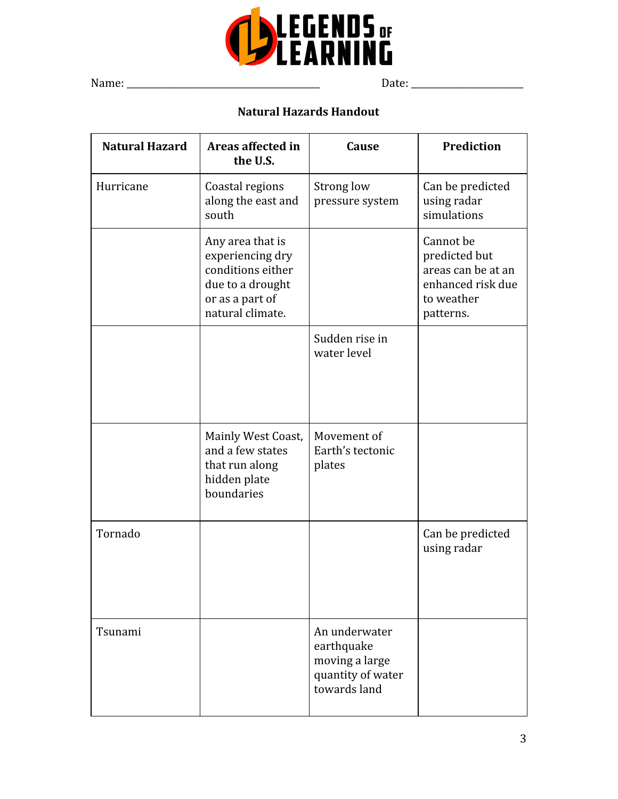

Name: \_\_\_\_\_\_\_\_\_\_\_\_\_\_\_\_\_\_\_\_\_\_\_\_\_\_\_\_\_\_\_\_\_\_\_\_\_\_\_\_\_\_\_ Date: \_\_\_\_\_\_\_\_\_\_\_\_\_\_\_\_\_\_\_\_\_\_\_\_\_

# **Natural Hazards Handout**

| <b>Natural Hazard</b> | Areas affected in<br>the U.S.                                                                                        | Cause                                                                              | <b>Prediction</b>                                                                                |
|-----------------------|----------------------------------------------------------------------------------------------------------------------|------------------------------------------------------------------------------------|--------------------------------------------------------------------------------------------------|
| Hurricane             | Coastal regions<br>along the east and<br>south                                                                       | Strong low<br>pressure system                                                      | Can be predicted<br>using radar<br>simulations                                                   |
|                       | Any area that is<br>experiencing dry<br>conditions either<br>due to a drought<br>or as a part of<br>natural climate. |                                                                                    | Cannot be<br>predicted but<br>areas can be at an<br>enhanced risk due<br>to weather<br>patterns. |
|                       |                                                                                                                      | Sudden rise in<br>water level                                                      |                                                                                                  |
|                       | Mainly West Coast,<br>and a few states<br>that run along<br>hidden plate<br>boundaries                               | Movement of<br>Earth's tectonic<br>plates                                          |                                                                                                  |
| Tornado               |                                                                                                                      |                                                                                    | Can be predicted<br>using radar                                                                  |
| Tsunami               |                                                                                                                      | An underwater<br>earthquake<br>moving a large<br>quantity of water<br>towards land |                                                                                                  |